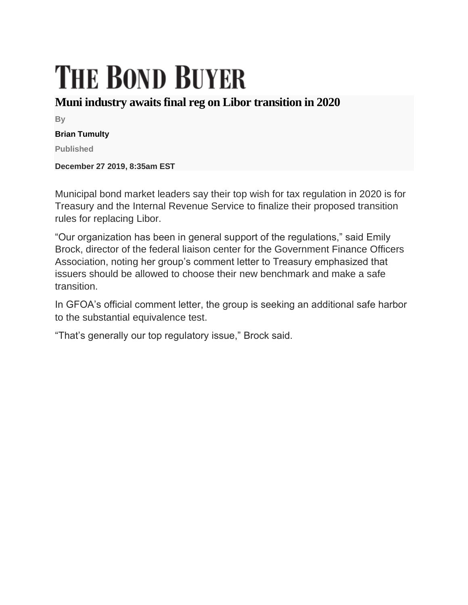## **THE BOND BUYER**

## **Muni industry awaits final reg on Libor transition in 2020**

**By**

## **Brian Tumulty**

**Published**

**December 27 2019, 8:35am EST**

Municipal bond market leaders say their top wish for tax regulation in 2020 is for Treasury and the Internal Revenue Service to finalize their proposed transition rules for replacing Libor.

"Our organization has been in general support of the regulations," said Emily Brock, director of the federal liaison center for the Government Finance Officers Association, noting her group's comment letter to Treasury emphasized that issuers should be allowed to choose their new benchmark and make a safe transition.

In GFOA's official comment letter, the group is seeking an additional safe harbor to the substantial equivalence test.

"That's generally our top regulatory issue," Brock said.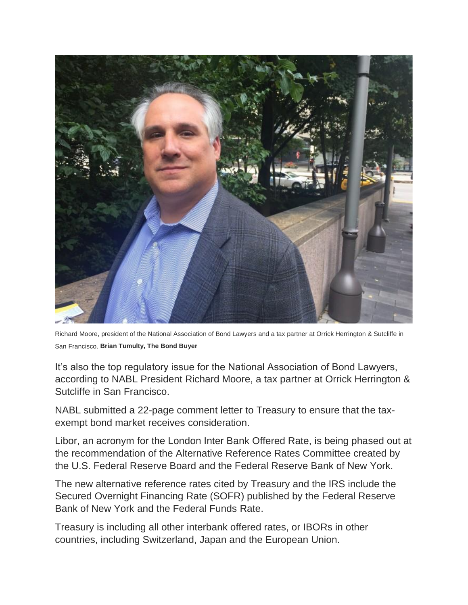

Richard Moore, president of the National Association of Bond Lawyers and a tax partner at Orrick Herrington & Sutcliffe in San Francisco. **Brian Tumulty, The Bond Buyer**

It's also the top regulatory issue for the National Association of Bond Lawyers, according to NABL President Richard Moore, a tax partner at Orrick Herrington & Sutcliffe in San Francisco.

NABL submitted a 22-page comment letter to Treasury to ensure that the taxexempt bond market receives consideration.

Libor, an acronym for the London Inter Bank Offered Rate, is being phased out at the recommendation of the Alternative Reference Rates Committee created by the U.S. Federal Reserve Board and the Federal Reserve Bank of New York.

The new alternative reference rates cited by Treasury and the IRS include the Secured Overnight Financing Rate (SOFR) published by the Federal Reserve Bank of New York and the Federal Funds Rate.

Treasury is including all other interbank offered rates, or IBORs in other countries, including Switzerland, Japan and the European Union.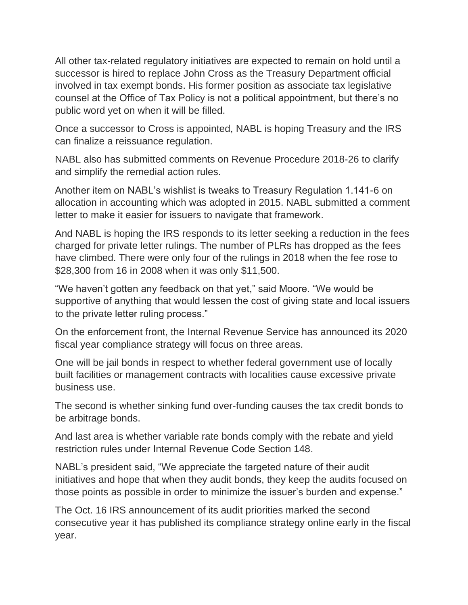All other tax-related regulatory initiatives are expected to remain on hold until a successor is hired to replace John Cross as the Treasury Department official involved in tax exempt bonds. His former position as associate tax legislative counsel at the Office of Tax Policy is not a political appointment, but there's no public word yet on when it will be filled.

Once a successor to Cross is appointed, NABL is hoping Treasury and the IRS can finalize a reissuance regulation.

NABL also has submitted comments on Revenue Procedure 2018-26 to clarify and simplify the remedial action rules.

Another item on NABL's wishlist is tweaks to Treasury Regulation 1.141-6 on allocation in accounting which was adopted in 2015. NABL submitted a comment letter to make it easier for issuers to navigate that framework.

And NABL is hoping the IRS responds to its letter seeking a reduction in the fees charged for private letter rulings. The number of PLRs has dropped as the fees have climbed. There were only four of the rulings in 2018 when the fee rose to \$28,300 from 16 in 2008 when it was only \$11,500.

"We haven't gotten any feedback on that yet," said Moore. "We would be supportive of anything that would lessen the cost of giving state and local issuers to the private letter ruling process."

On the enforcement front, the Internal Revenue Service has announced its 2020 fiscal year compliance strategy will focus on three areas.

One will be jail bonds in respect to whether federal government use of locally built facilities or management contracts with localities cause excessive private business use.

The second is whether sinking fund over-funding causes the tax credit bonds to be arbitrage bonds.

And last area is whether variable rate bonds comply with the rebate and yield restriction rules under Internal Revenue Code Section 148.

NABL's president said, "We appreciate the targeted nature of their audit initiatives and hope that when they audit bonds, they keep the audits focused on those points as possible in order to minimize the issuer's burden and expense."

The Oct. 16 IRS announcement of its audit priorities marked the second consecutive year it has published its compliance strategy online early in the fiscal year.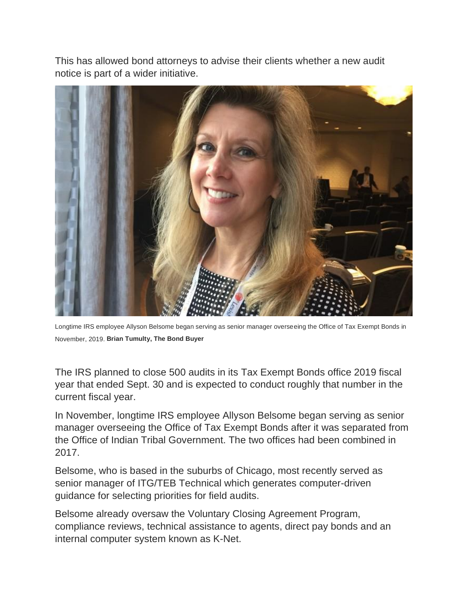This has allowed bond attorneys to advise their clients whether a new audit notice is part of a wider initiative.



Longtime IRS employee Allyson Belsome began serving as senior manager overseeing the Office of Tax Exempt Bonds in November, 2019. **Brian Tumulty, The Bond Buyer**

The IRS planned to close 500 audits in its Tax Exempt Bonds office 2019 fiscal year that ended Sept. 30 and is expected to conduct roughly that number in the current fiscal year.

In November, longtime IRS employee Allyson Belsome began serving as senior manager overseeing the Office of Tax Exempt Bonds after it was separated from the Office of Indian Tribal Government. The two offices had been combined in 2017.

Belsome, who is based in the suburbs of Chicago, most recently served as senior manager of ITG/TEB Technical which generates computer-driven guidance for selecting priorities for field audits.

Belsome already oversaw the Voluntary Closing Agreement Program, compliance reviews, technical assistance to agents, direct pay bonds and an internal computer system known as K-Net.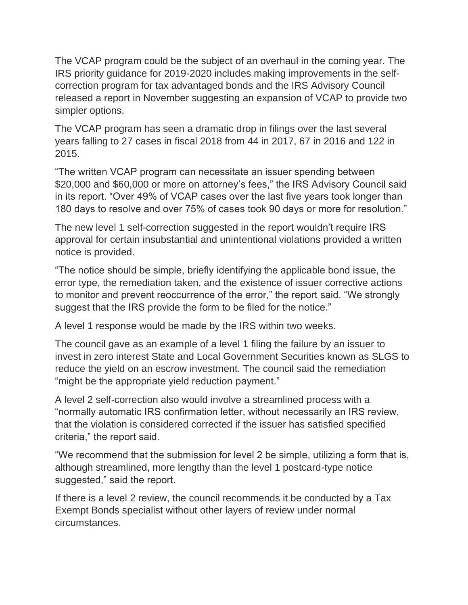The VCAP program could be the subject of an overhaul in the coming year. The IRS priority guidance for 2019-2020 includes making improvements in the selfcorrection program for tax advantaged bonds and the IRS Advisory Council released a report in November suggesting an expansion of VCAP to provide two simpler options.

The VCAP program has seen a dramatic drop in filings over the last several years falling to 27 cases in fiscal 2018 from 44 in 2017, 67 in 2016 and 122 in 2015.

"The written VCAP program can necessitate an issuer spending between \$20,000 and \$60,000 or more on attorney's fees," the IRS Advisory Council said in its report. "Over 49% of VCAP cases over the last five years took longer than 180 days to resolve and over 75% of cases took 90 days or more for resolution."

The new level 1 self-correction suggested in the report wouldn't require IRS approval for certain insubstantial and unintentional violations provided a written notice is provided.

"The notice should be simple, briefly identifying the applicable bond issue, the error type, the remediation taken, and the existence of issuer corrective actions to monitor and prevent reoccurrence of the error," the report said. "We strongly suggest that the IRS provide the form to be filed for the notice."

A level 1 response would be made by the IRS within two weeks.

The council gave as an example of a level 1 filing the failure by an issuer to invest in zero interest State and Local Government Securities known as SLGS to reduce the yield on an escrow investment. The council said the remediation "might be the appropriate yield reduction payment."

A level 2 self-correction also would involve a streamlined process with a "normally automatic IRS confirmation letter, without necessarily an IRS review, that the violation is considered corrected if the issuer has satisfied specified criteria," the report said.

"We recommend that the submission for level 2 be simple, utilizing a form that is, although streamlined, more lengthy than the level 1 postcard-type notice suggested," said the report.

If there is a level 2 review, the council recommends it be conducted by a Tax Exempt Bonds specialist without other layers of review under normal circumstances.